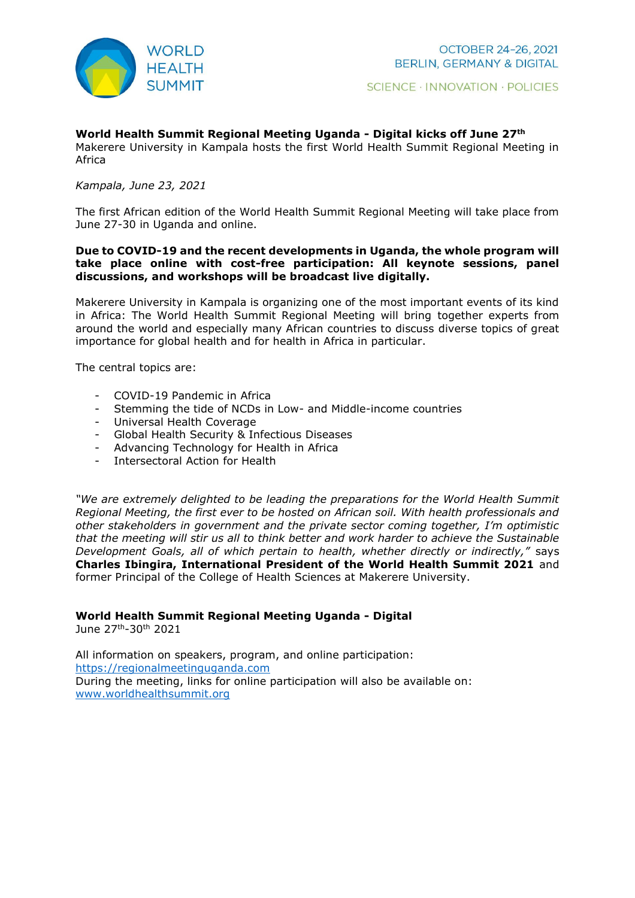

### **World Health Summit Regional Meeting Uganda - Digital kicks off June 27th**

Makerere University in Kampala hosts the first World Health Summit Regional Meeting in Africa

#### *Kampala, June 23, 2021*

The first African edition of the World Health Summit Regional Meeting will take place from June 27-30 in Uganda and online.

### **Due to COVID-19 and the recent developments in Uganda, the whole program will take place online with cost-free participation: All keynote sessions, panel discussions, and workshops will be broadcast live digitally.**

Makerere University in Kampala is organizing one of the most important events of its kind in Africa: The World Health Summit Regional Meeting will bring together experts from around the world and especially many African countries to discuss diverse topics of great importance for global health and for health in Africa in particular.

The central topics are:

- COVID-19 Pandemic in Africa
- Stemming the tide of NCDs in Low- and Middle-income countries
- Universal Health Coverage
- Global Health Security & Infectious Diseases
- Advancing Technology for Health in Africa
- Intersectoral Action for Health

*"We are extremely delighted to be leading the preparations for the World Health Summit Regional Meeting, the first ever to be hosted on African soil. With health professionals and other stakeholders in government and the private sector coming together, I'm optimistic that the meeting will stir us all to think better and work harder to achieve the Sustainable Development Goals, all of which pertain to health, whether directly or indirectly,"* says **Charles Ibingira, International President of the World Health Summit 2021** and former Principal of the College of Health Sciences at Makerere University.

## **World Health Summit Regional Meeting Uganda - Digital**

June 27th-30th 2021

All information on speakers, program, and online participation: [https://regionalmeetinguganda.com](https://regionalmeetinguganda.com/) During the meeting, links for online participation will also be available on: [www.worldhealthsummit.org](http://www.worldhealthsummit.org/)